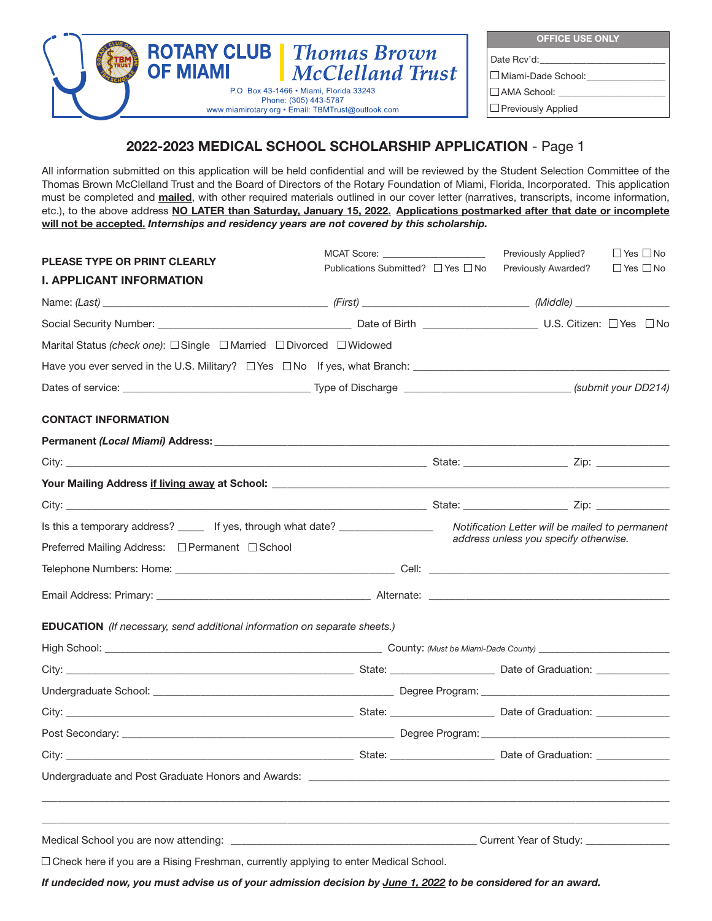

**OFFICE USE ONLY** Date Rcv'd: Miami-Dade School:\_\_\_\_\_\_\_\_\_\_\_\_\_\_\_\_\_  $\square$  AMA School: **Previously Applied** 

# **2022-2023 MEDICAL SCHOOL SCHOLARSHIP APPLICATION** - Page 1

All information submitted on this application will be held confidential and will be reviewed by the Student Selection Committee of the Thomas Brown McClelland Trust and the Board of Directors of the Rotary Foundation of Miami, Florida, Incorporated. This application must be completed and **mailed**, with other required materials outlined in our cover letter (narratives, transcripts, income information, etc.), to the above address **NO LATER than Saturday, January 15, 2022. Applications postmarked after that date or incomplete will not be accepted.** *Internships and residency years are not covered by this scholarship.*

| <b>PLEASE TYPE OR PRINT CLEARLY</b>                                                    |                                              |                                        | <b>Previously Applied?</b>                      | $\Box$ Yes $\Box$ No |
|----------------------------------------------------------------------------------------|----------------------------------------------|----------------------------------------|-------------------------------------------------|----------------------|
| <b>I. APPLICANT INFORMATION</b>                                                        | Publications Submitted? $\Box$ Yes $\Box$ No |                                        | <b>Previously Awarded?</b>                      | $\Box$ Yes $\Box$ No |
|                                                                                        |                                              |                                        |                                                 |                      |
|                                                                                        |                                              |                                        |                                                 |                      |
| Marital Status (check one): □ Single □ Married □ Divorced □ Widowed                    |                                              |                                        |                                                 |                      |
|                                                                                        |                                              |                                        |                                                 |                      |
|                                                                                        |                                              |                                        |                                                 |                      |
| <b>CONTACT INFORMATION</b>                                                             |                                              |                                        |                                                 |                      |
|                                                                                        |                                              |                                        |                                                 |                      |
|                                                                                        |                                              |                                        |                                                 |                      |
|                                                                                        |                                              |                                        |                                                 |                      |
|                                                                                        |                                              |                                        |                                                 |                      |
| Is this a temporary address? _____ If yes, through what date? _________________        |                                              |                                        | Notification Letter will be mailed to permanent |                      |
| Preferred Mailing Address: □ Permanent □ School                                        |                                              |                                        | address unless you specify otherwise.           |                      |
|                                                                                        |                                              |                                        |                                                 |                      |
|                                                                                        |                                              |                                        |                                                 |                      |
| EDUCATION (If necessary, send additional information on separate sheets.)              |                                              |                                        |                                                 |                      |
|                                                                                        |                                              |                                        |                                                 |                      |
|                                                                                        |                                              |                                        |                                                 |                      |
|                                                                                        |                                              |                                        |                                                 |                      |
|                                                                                        |                                              |                                        |                                                 |                      |
|                                                                                        |                                              |                                        |                                                 |                      |
|                                                                                        |                                              |                                        |                                                 |                      |
| Undergraduate and Post Graduate Honors and Awards: _                                   |                                              |                                        |                                                 |                      |
|                                                                                        |                                              |                                        |                                                 |                      |
|                                                                                        |                                              | Current Year of Study: _______________ |                                                 |                      |
| □ Check here if you are a Rising Freshman, currently applying to enter Medical School. |                                              |                                        |                                                 |                      |

*If undecided now, you must advise us of your admission decision by June 1, 2022 to be considered for an award.*